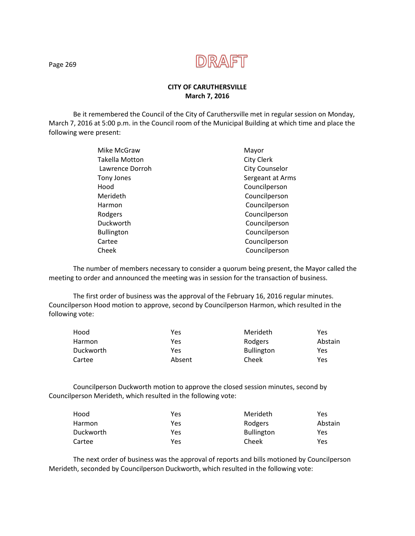

## **CITY OF CARUTHERSVILLE March 7, 2016**

Be it remembered the Council of the City of Caruthersville met in regular session on Monday, March 7, 2016 at 5:00 p.m. in the Council room of the Municipal Building at which time and place the following were present:

| Mayor                 |
|-----------------------|
| <b>City Clerk</b>     |
| <b>City Counselor</b> |
| Sergeant at Arms      |
| Councilperson         |
| Councilperson         |
| Councilperson         |
| Councilperson         |
| Councilperson         |
| Councilperson         |
| Councilperson         |
| Councilperson         |
|                       |

The number of members necessary to consider a quorum being present, the Mayor called the meeting to order and announced the meeting was in session for the transaction of business.

The first order of business was the approval of the February 16, 2016 regular minutes. Councilperson Hood motion to approve, second by Councilperson Harmon, which resulted in the following vote:

| Hood      | Yes    | Merideth          | Yes     |
|-----------|--------|-------------------|---------|
| Harmon    | Yes    | Rodgers           | Abstain |
| Duckworth | Yes    | <b>Bullington</b> | Yes     |
| Cartee    | Absent | Cheek             | Yes     |

 Councilperson Duckworth motion to approve the closed session minutes, second by Councilperson Merideth, which resulted in the following vote:

| Hood      | Yes | Merideth          | Yes     |
|-----------|-----|-------------------|---------|
| Harmon    | Yes | Rodgers           | Abstain |
| Duckworth | Yes | <b>Bullington</b> | Yes     |
| Cartee    | Yes | Cheek             | Yes     |

The next order of business was the approval of reports and bills motioned by Councilperson Merideth, seconded by Councilperson Duckworth, which resulted in the following vote:

Page 269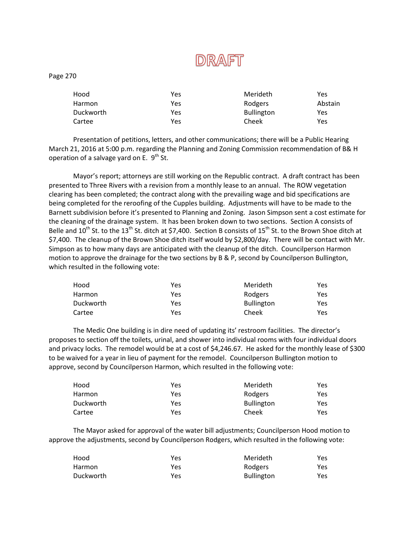

Page 270

| Hood      | Yes | Merideth          | Yes     |
|-----------|-----|-------------------|---------|
| Harmon    | Yes | Rodgers           | Abstain |
| Duckworth | Yes | <b>Bullington</b> | Yes     |
| Cartee    | Yes | Cheek             | Yes     |

Presentation of petitions, letters, and other communications; there will be a Public Hearing March 21, 2016 at 5:00 p.m. regarding the Planning and Zoning Commission recommendation of B& H operation of a salvage yard on E.  $9^{\text{th}}$  St.

Mayor's report; attorneys are still working on the Republic contract. A draft contract has been presented to Three Rivers with a revision from a monthly lease to an annual. The ROW vegetation clearing has been completed; the contract along with the prevailing wage and bid specifications are being completed for the reroofing of the Cupples building. Adjustments will have to be made to the Barnett subdivision before it's presented to Planning and Zoning. Jason Simpson sent a cost estimate for the cleaning of the drainage system. It has been broken down to two sections. Section A consists of Belle and  $10^{th}$  St. to the  $13^{th}$  St. ditch at \$7,400. Section B consists of  $15^{th}$  St. to the Brown Shoe ditch at \$7,400. The cleanup of the Brown Shoe ditch itself would by \$2,800/day. There will be contact with Mr. Simpson as to how many days are anticipated with the cleanup of the ditch. Councilperson Harmon motion to approve the drainage for the two sections by B & P, second by Councilperson Bullington, which resulted in the following vote:

| Hood      | Yes | Merideth          | Yes. |
|-----------|-----|-------------------|------|
| Harmon    | Yes | Rodgers           | Yes  |
| Duckworth | Yes | <b>Bullington</b> | Yes. |
| Cartee    | Yes | Cheek             | Yes  |

The Medic One building is in dire need of updating its' restroom facilities. The director's proposes to section off the toilets, urinal, and shower into individual rooms with four individual doors and privacy locks. The remodel would be at a cost of \$4,246.67. He asked for the monthly lease of \$300 to be waived for a year in lieu of payment for the remodel. Councilperson Bullington motion to approve, second by Councilperson Harmon, which resulted in the following vote:

| Hood      | Yes | Merideth          | Yes |
|-----------|-----|-------------------|-----|
| Harmon    | Yes | Rodgers           | Yes |
| Duckworth | Yes | <b>Bullington</b> | Yes |
| Cartee    | Yes | Cheek             | Yes |

The Mayor asked for approval of the water bill adjustments; Councilperson Hood motion to approve the adjustments, second by Councilperson Rodgers, which resulted in the following vote:

| Hood      | Yes | Merideth          | Yes. |
|-----------|-----|-------------------|------|
| Harmon    | Yes | Rodgers           | Yes. |
| Duckworth | Yes | <b>Bullington</b> | Yes  |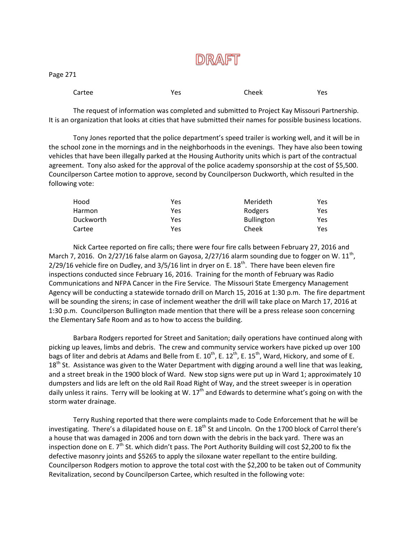

|--|--|

| Cartee | ∨۵د<br>ີ | Cheek | Yes |
|--------|----------|-------|-----|
|--------|----------|-------|-----|

The request of information was completed and submitted to Project Kay Missouri Partnership. It is an organization that looks at cities that have submitted their names for possible business locations.

Tony Jones reported that the police department's speed trailer is working well, and it will be in the school zone in the mornings and in the neighborhoods in the evenings. They have also been towing vehicles that have been illegally parked at the Housing Authority units which is part of the contractual agreement. Tony also asked for the approval of the police academy sponsorship at the cost of \$5,500. Councilperson Cartee motion to approve, second by Councilperson Duckworth, which resulted in the following vote:

| Hood             | Yes | Merideth          | Yes |
|------------------|-----|-------------------|-----|
| <b>Harmon</b>    | Yes | Rodgers           | Yes |
| <b>Duckworth</b> | Yes | <b>Bullington</b> | Yes |
| Cartee           | Yes | Cheek             | Yes |

Nick Cartee reported on fire calls; there were four fire calls between February 27, 2016 and March 7, 2016. On 2/27/16 false alarm on Gayosa, 2/27/16 alarm sounding due to fogger on W.  $11^{\text{th}}$ ,  $2/29/16$  vehicle fire on Dudley, and  $3/5/16$  lint in dryer on E. 18<sup>th</sup>. There have been eleven fire inspections conducted since February 16, 2016. Training for the month of February was Radio Communications and NFPA Cancer in the Fire Service. The Missouri State Emergency Management Agency will be conducting a statewide tornado drill on March 15, 2016 at 1:30 p.m. The fire department will be sounding the sirens; in case of inclement weather the drill will take place on March 17, 2016 at 1:30 p.m. Councilperson Bullington made mention that there will be a press release soon concerning the Elementary Safe Room and as to how to access the building.

Barbara Rodgers reported for Street and Sanitation; daily operations have continued along with picking up leaves, limbs and debris. The crew and community service workers have picked up over 100 bags of liter and debris at Adams and Belle from E.  $10^{th}$ , E.  $12^{th}$ , E.  $15^{th}$ , Ward, Hickory, and some of E.  $18<sup>th</sup>$  St. Assistance was given to the Water Department with digging around a well line that was leaking, and a street break in the 1900 block of Ward. New stop signs were put up in Ward 1; approximately 10 dumpsters and lids are left on the old Rail Road Right of Way, and the street sweeper is in operation daily unless it rains. Terry will be looking at W.  $17<sup>th</sup>$  and Edwards to determine what's going on with the storm water drainage.

Terry Rushing reported that there were complaints made to Code Enforcement that he will be investigating. There's a dilapidated house on E. 18<sup>th</sup> St and Lincoln. On the 1700 block of Carrol there's a house that was damaged in 2006 and torn down with the debris in the back yard. There was an inspection done on E. 7<sup>th</sup> St. which didn't pass. The Port Authority Building will cost \$2,200 to fix the defective masonry joints and \$5265 to apply the siloxane water repellant to the entire building. Councilperson Rodgers motion to approve the total cost with the \$2,200 to be taken out of Community Revitalization, second by Councilperson Cartee, which resulted in the following vote: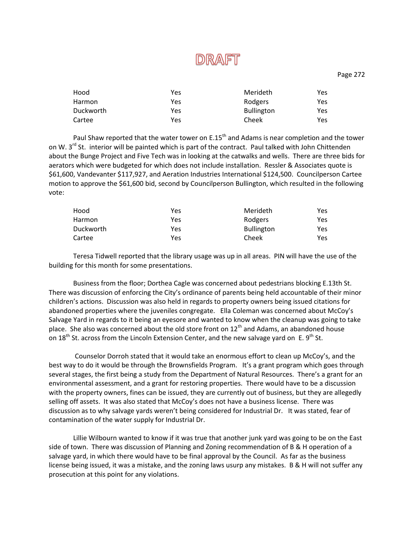

Page 272

| Hood      | Yes | Merideth          | Yes |
|-----------|-----|-------------------|-----|
| Harmon    | Yes | Rodgers           | Yes |
| Duckworth | Yes | <b>Bullington</b> | Yes |
| Cartee    | Yes | Cheek             | Yes |

Paul Shaw reported that the water tower on E.15<sup>th</sup> and Adams is near completion and the tower on W. 3<sup>rd</sup> St. interior will be painted which is part of the contract. Paul talked with John Chittenden about the Bunge Project and Five Tech was in looking at the catwalks and wells. There are three bids for aerators which were budgeted for which does not include installation. Ressler & Associates quote is \$61,600, Vandevanter \$117,927, and Aeration Industries International \$124,500. Councilperson Cartee motion to approve the \$61,600 bid, second by Councilperson Bullington, which resulted in the following vote:

| Hood      | Yes | Merideth          | Yes. |
|-----------|-----|-------------------|------|
| Harmon    | Yes | Rodgers           | Yes  |
| Duckworth | Yes | <b>Bullington</b> | Yes. |
| Cartee    | Yes | Cheek             | Yes  |

Teresa Tidwell reported that the library usage was up in all areas. PIN will have the use of the building for this month for some presentations.

Business from the floor; Dorthea Cagle was concerned about pedestrians blocking E.13th St. There was discussion of enforcing the City's ordinance of parents being held accountable of their minor children's actions. Discussion was also held in regards to property owners being issued citations for abandoned properties where the juveniles congregate. Ella Coleman was concerned about McCoy's Salvage Yard in regards to it being an eyesore and wanted to know when the cleanup was going to take place. She also was concerned about the old store front on  $12<sup>th</sup>$  and Adams, an abandoned house on 18<sup>th</sup> St. across from the Lincoln Extension Center, and the new salvage yard on E. 9<sup>th</sup> St.

Counselor Dorroh stated that it would take an enormous effort to clean up McCoy's, and the best way to do it would be through the Brownsfields Program. It's a grant program which goes through several stages, the first being a study from the Department of Natural Resources. There's a grant for an environmental assessment, and a grant for restoring properties. There would have to be a discussion with the property owners, fines can be issued, they are currently out of business, but they are allegedly selling off assets. It was also stated that McCoy's does not have a business license. There was discussion as to why salvage yards weren't being considered for Industrial Dr. It was stated, fear of contamination of the water supply for Industrial Dr.

Lillie Wilbourn wanted to know if it was true that another junk yard was going to be on the East side of town. There was discussion of Planning and Zoning recommendation of B & H operation of a salvage yard, in which there would have to be final approval by the Council. As far as the business license being issued, it was a mistake, and the zoning laws usurp any mistakes. B & H will not suffer any prosecution at this point for any violations.